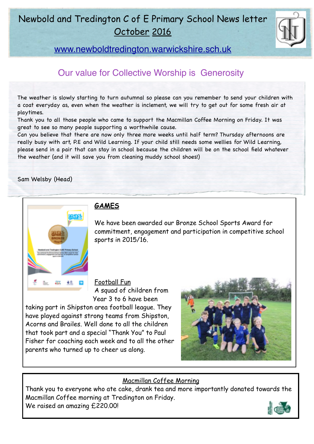# Newbold and Tredington C of E Primary School News letter October 2016



[www.newboldtredington.warwickshire.sch.uk](http://www.newboldtredington.warwickshire.sch.uk)

## Our value for Collective Worship is Generosity

The weather is slowly starting to turn autumnal so please can you remember to send your children with a coat everyday as, even when the weather is inclement, we will try to get out for some fresh air at playtimes.

Thank you to all those people who came to support the Macmillan Coffee Morning on Friday. It was great to see so many people supporting a worthwhile cause.

Can you believe that there are now only three more weeks until half term? Thursday afternoons are really busy with art, P.E and Wild Learning. If your child still needs some wellies for Wild Learning, please send in a pair that can stay in school because the children will be on the school field whatever the weather (and it will save you from cleaning muddy school shoes!)

Sam Welsby (Head)



### **GAMES**

We have been awarded our Bronze School Sports Award for commitment, engagement and participation in competitive school sports in 2015/16.

Football Fun A squad of children from Year 3 to 6 have been

taking part in Shipston area football league. They have played against strong teams from Shipston, Acorns and Brailes. Well done to all the children that took part and a special "Thank You" to Paul Fisher for coaching each week and to all the other parents who turned up to cheer us along.



#### Macmillan Coffee Morning

Thank you to everyone who ate cake, drank tea and more importantly donated towards the Macmillan Coffee morning at Tredington on Friday. We raised an amazing £220.00!

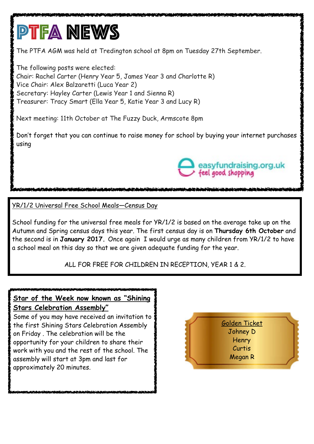# **PTFA NEWS**

The PTFA AGM was held at Tredington school at 8pm on Tuesday 27th September.

The following posts were elected: Chair: Rachel Carter (Henry Year 5, James Year 3 and Charlotte R) Vice Chair: Alex Balzaretti (Luca Year 2) Secretary: Hayley Carter (Lewis Year 1 and Sienna R) Treasurer: Tracy Smart (Ella Year 5, Katie Year 3 and Lucy R)

Next meeting: 11th October at The Fuzzy Duck, Armscote 8pm

Don't forget that you can continue to raise money for school by buying your internet purchases using



YR/1/2 Universal Free School Meals—Census Day

School funding for the universal free meals for YR/1/2 is based on the average take up on the Autumn and Spring census days this year. The first census day is on **Thursday 6th October** and the second is in **January 2017.** Once again I would urge as many children from YR/1/2 to have a school meal on this day so that we are given adequate funding for the year.

ALL FOR FREE FOR CHILDREN IN RECEPTION, YEAR 1 & 2.

## **Star of the Week now known as "Shining Stars Celebration Assembly"**

Some of you may have received an invitation to the first Shining Stars Celebration Assembly on Friday . The celebration will be the opportunity for your children to share their work with you and the rest of the school. The assembly will start at 3pm and last for approximately 20 minutes.

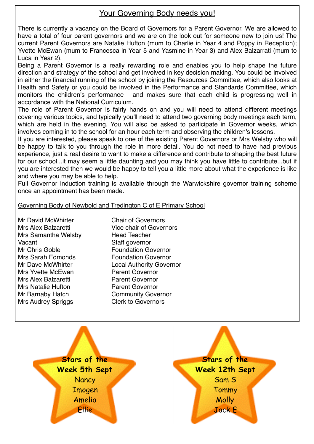#### Your Governing Body needs you!

There is currently a vacancy on the Board of Governors for a Parent Governor. We are allowed to have a total of four parent governors and we are on the look out for someone new to join us! The current Parent Governors are Natalie Hufton (mum to Charlie in Year 4 and Poppy in Reception); Yvette McEwan (mum to Francesca in Year 5 and Yasmine in Year 3) and Alex Balzarrati (mum to Luca in Year 2).

Being a Parent Governor is a really rewarding role and enables you to help shape the future direction and strategy of the school and get involved in key decision making. You could be involved in either the financial running of the school by joining the Resources Committee, which also looks at Health and Safety or you could be involved in the Performance and Standards Committee, which monitors the children's performance and makes sure that each child is progressing well in accordance with the National Curriculum.

The role of Parent Governor is fairly hands on and you will need to attend different meetings covering various topics, and typically you'll need to attend two governing body meetings each term, which are held in the evening. You will also be asked to participate in Governor weeks, which involves coming in to the school for an hour each term and observing the children's lessons.

If you are interested, please speak to one of the existing Parent Governors or Mrs Welsby who will be happy to talk to you through the role in more detail. You do not need to have had previous experience, just a real desire to want to make a difference and contribute to shaping the best future for our school...it may seem a little daunting and you may think you have little to contribute...but if you are interested then we would be happy to tell you a little more about what the experience is like and where you may be able to help.

Full Governor induction training is available through the Warwickshire governor training scheme once an appointment has been made.

Governing Body of Newbold and Tredington C of E Primary School

Mr David McWhirter Chair of Governors Mrs Samantha Welsby Head Teacher Vacant **Staff governor** Mr Chris Goble **Foundation Governor**<br>
Mrs Sarah Edmonds **Foundation Governor** Mrs Yvette McEwan Parent Governor Mrs Alex Balzaretti **Parent Governor** Mrs Natalie Hufton **Parent Governor** Mr Barnaby Hatch Community Governor Mrs Audrey Spriggs Clerk to Governors

Mrs Alex Balzaretti Vice chair of Governors **Foundation Governor** Mr Dave McWhirter **Local Authority Governor** 

> **Stars of the Week 5th Sept Nancy** Imogen Amelia Ellie

**Stars of the Week 12th Sept**  Sam S **Tommy Molly** Jack E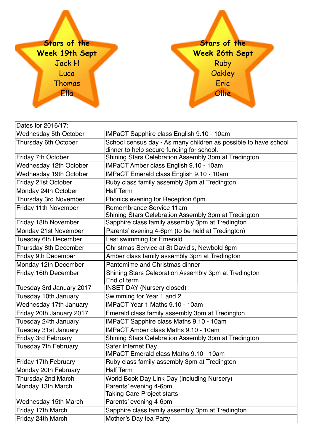

| Dates for 2016/17:           |                                                                                                              |
|------------------------------|--------------------------------------------------------------------------------------------------------------|
| <b>Wednesday 5th October</b> | <b>IMPaCT Sapphire class English 9.10 - 10am</b>                                                             |
| Thursday 6th October         | School census day - As many children as possible to have school<br>dinner to help secure funding for school. |
| Friday 7th October           | Shining Stars Celebration Assembly 3pm at Tredington                                                         |
| Wednesday 12th October       | IMPaCT Amber class English 9.10 - 10am                                                                       |
| Wednesday 19th October       | IMPaCT Emerald class English 9.10 - 10am                                                                     |
| Friday 21st October          | Ruby class family assembly 3pm at Tredington                                                                 |
| Monday 24th October          | <b>Half Term</b>                                                                                             |
| <b>Thursday 3rd November</b> | Phonics evening for Reception 6pm                                                                            |
| Friday 11th November         | Remembrance Service 11am<br>Shining Stars Celebration Assembly 3pm at Tredington                             |
| Friday 18th November         | Sapphire class family assembly 3pm at Tredington                                                             |
| Monday 21st November         | Parents' evening 4-6pm (to be held at Tredington)                                                            |
| <b>Tuesday 6th December</b>  | Last swimming for Emerald                                                                                    |
| Thursday 8th December        | Christmas Service at St David's, Newbold 6pm                                                                 |
| Friday 9th December          | Amber class family assembly 3pm at Tredington                                                                |
| Monday 12th December         | Pantomime and Christmas dinner                                                                               |
| Friday 16th December         | Shining Stars Celebration Assembly 3pm at Tredington<br>End of term                                          |
| Tuesday 3rd January 2017     | <b>INSET DAY (Nursery closed)</b>                                                                            |
| Tuesday 10th January         | Swimming for Year 1 and 2                                                                                    |
| Wednesday 17th January       | <b>IMPaCT Year 1 Maths 9.10 - 10am</b>                                                                       |
| Friday 20th January 2017     | Emerald class family assembly 3pm at Tredington                                                              |
| Tuesday 24th January         | IMPaCT Sapphire class Maths 9.10 - 10am                                                                      |
| Tuesday 31st January         | <b>IMPaCT Amber class Maths 9.10 - 10am</b>                                                                  |
| <b>Friday 3rd February</b>   | Shining Stars Celebration Assembly 3pm at Tredington                                                         |
| Tuesday 7th February         | Safer Internet Day<br><b>IMPaCT Emerald class Maths 9.10 - 10am</b>                                          |
| Friday 17th February         | Ruby class family assembly 3pm at Tredington                                                                 |
| Monday 20th February         | <b>Half Term</b>                                                                                             |
| Thursday 2nd March           | World Book Day Link Day (including Nursery)                                                                  |
| Monday 13th March            | Parents' evening 4-6pm<br><b>Taking Care Project starts</b>                                                  |
| <b>Wednesday 15th March</b>  | Parents' evening 4-6pm                                                                                       |
| Friday 17th March            | Sapphire class family assembly 3pm at Tredington                                                             |
| Friday 24th March            | Mother's Day tea Party                                                                                       |